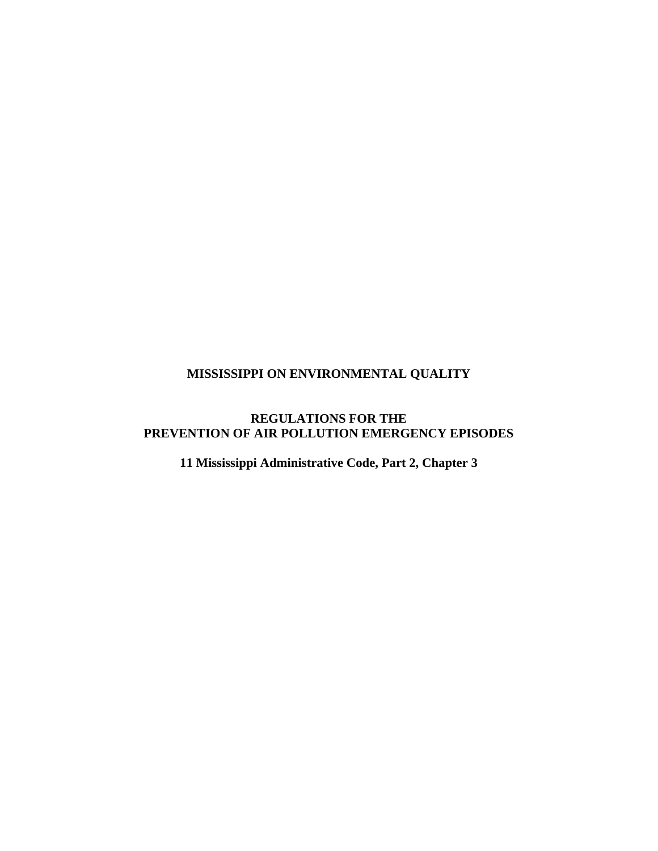### **MISSISSIPPI ON ENVIRONMENTAL QUALITY**

### **REGULATIONS FOR THE PREVENTION OF AIR POLLUTION EMERGENCY EPISODES**

**11 Mississippi Administrative Code, Part 2, Chapter 3**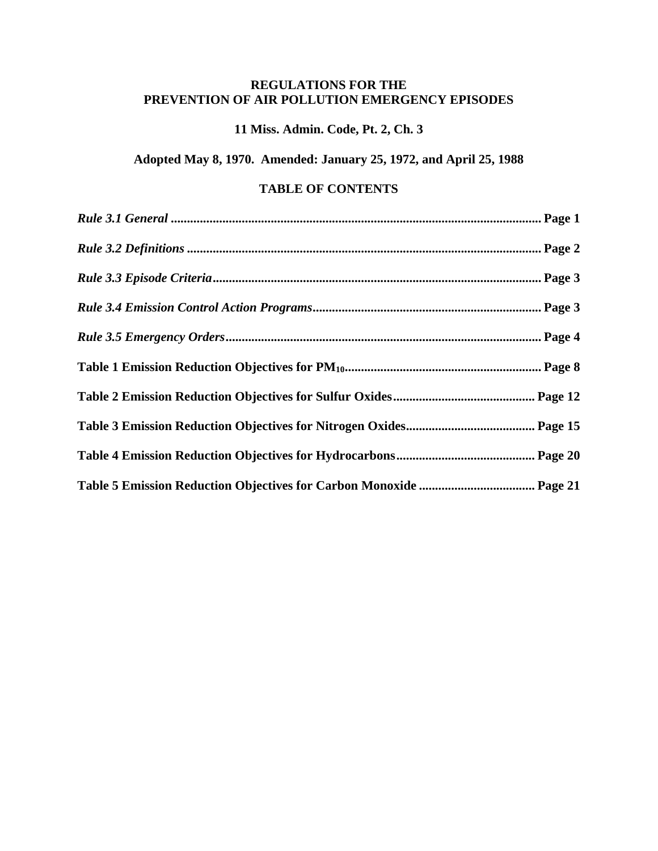### **REGULATIONS FOR THE PREVENTION OF AIR POLLUTION EMERGENCY EPISODES**

### **11 Miss. Admin. Code, Pt. 2, Ch. 3**

**Adopted May 8, 1970. Amended: January 25, 1972, and April 25, 1988** 

### **TABLE OF CONTENTS**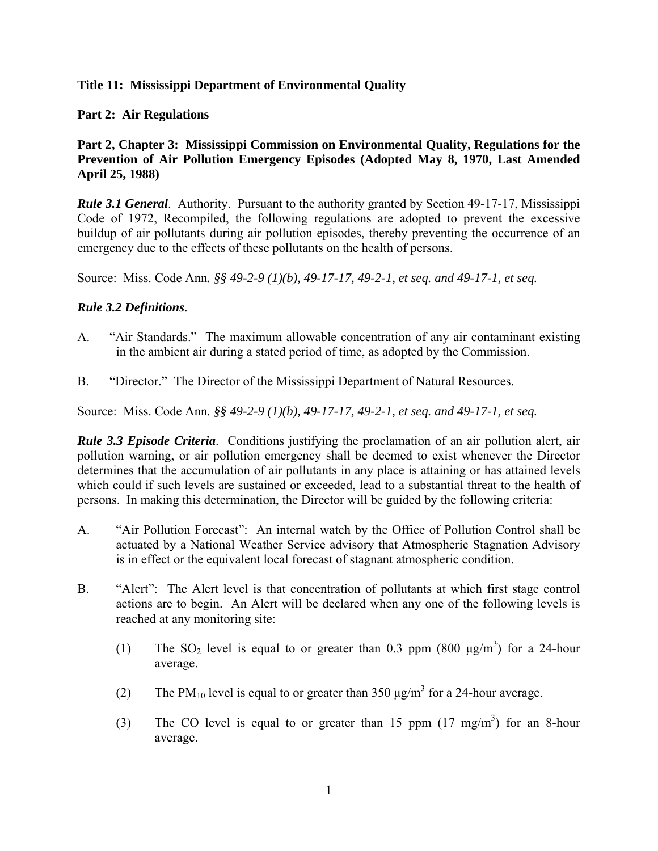#### **Title 11: Mississippi Department of Environmental Quality**

#### **Part 2: Air Regulations**

### **Part 2, Chapter 3: Mississippi Commission on Environmental Quality, Regulations for the Prevention of Air Pollution Emergency Episodes (Adopted May 8, 1970, Last Amended April 25, 1988)**

*Rule 3.1 General*. Authority. Pursuant to the authority granted by Section 49-17-17, Mississippi Code of 1972, Recompiled, the following regulations are adopted to prevent the excessive buildup of air pollutants during air pollution episodes, thereby preventing the occurrence of an emergency due to the effects of these pollutants on the health of persons.

Source:Miss. Code Ann*. §§ 49-2-9 (1)(b), 49-17-17, 49-2-1, et seq. and 49-17-1, et seq.* 

#### *Rule 3.2 Definitions*.

- A. "Air Standards." The maximum allowable concentration of any air contaminant existing in the ambient air during a stated period of time, as adopted by the Commission.
- B. "Director." The Director of the Mississippi Department of Natural Resources.

Source:Miss. Code Ann*. §§ 49-2-9 (1)(b), 49-17-17, 49-2-1, et seq. and 49-17-1, et seq.* 

*Rule 3.3 Episode Criteria*. Conditions justifying the proclamation of an air pollution alert, air pollution warning, or air pollution emergency shall be deemed to exist whenever the Director determines that the accumulation of air pollutants in any place is attaining or has attained levels which could if such levels are sustained or exceeded, lead to a substantial threat to the health of persons. In making this determination, the Director will be guided by the following criteria:

- A. "Air Pollution Forecast": An internal watch by the Office of Pollution Control shall be actuated by a National Weather Service advisory that Atmospheric Stagnation Advisory is in effect or the equivalent local forecast of stagnant atmospheric condition.
- B. "Alert": The Alert level is that concentration of pollutants at which first stage control actions are to begin. An Alert will be declared when any one of the following levels is reached at any monitoring site:
	- (1) The SO<sub>2</sub> level is equal to or greater than 0.3 ppm (800  $\mu$ g/m<sup>3</sup>) for a 24-hour average.
	- (2) The PM<sub>10</sub> level is equal to or greater than 350  $\mu$ g/m<sup>3</sup> for a 24-hour average.
	- (3) The CO level is equal to or greater than 15 ppm  $(17 \text{ mg/m}^3)$  for an 8-hour average.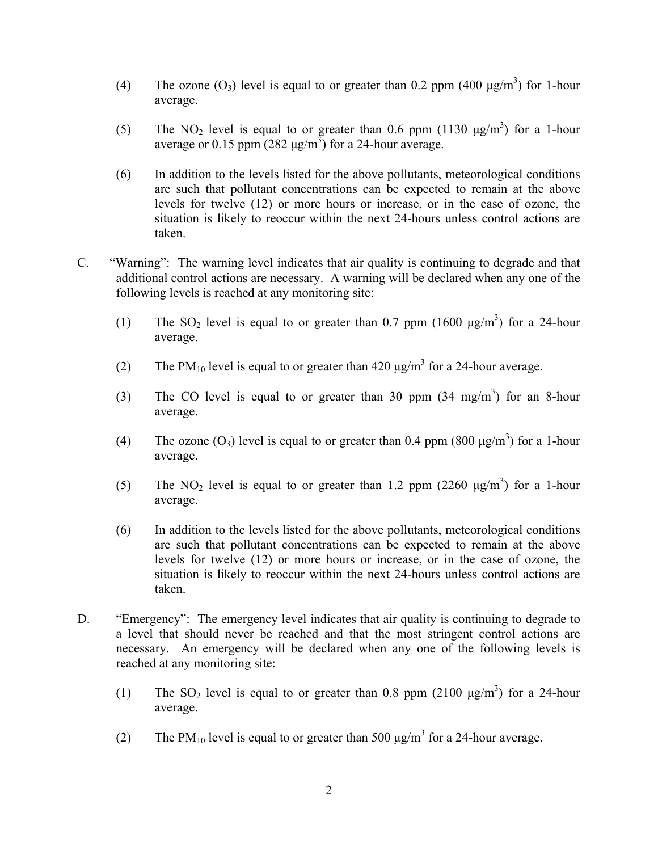- (4) The ozone  $(O_3)$  level is equal to or greater than 0.2 ppm (400  $\mu$ g/m<sup>3</sup>) for 1-hour average.
- (5) The NO<sub>2</sub> level is equal to or greater than 0.6 ppm (1130  $\mu$ g/m<sup>3</sup>) for a 1-hour average or 0.15 ppm  $(282 \mu g/m^3)$  for a 24-hour average.
- (6) In addition to the levels listed for the above pollutants, meteorological conditions are such that pollutant concentrations can be expected to remain at the above levels for twelve (12) or more hours or increase, or in the case of ozone, the situation is likely to reoccur within the next 24-hours unless control actions are taken.
- C. "Warning": The warning level indicates that air quality is continuing to degrade and that additional control actions are necessary. A warning will be declared when any one of the following levels is reached at any monitoring site:
	- (1) The SO<sub>2</sub> level is equal to or greater than 0.7 ppm (1600  $\mu$ g/m<sup>3</sup>) for a 24-hour average.
	- (2) The PM<sub>10</sub> level is equal to or greater than 420  $\mu$ g/m<sup>3</sup> for a 24-hour average.
	- (3) The CO level is equal to or greater than 30 ppm  $(34 \text{ mg/m}^3)$  for an 8-hour average.
	- (4) The ozone (O<sub>3</sub>) level is equal to or greater than 0.4 ppm (800  $\mu$ g/m<sup>3</sup>) for a 1-hour average.
	- (5) The NO<sub>2</sub> level is equal to or greater than 1.2 ppm (2260  $\mu$ g/m<sup>3</sup>) for a 1-hour average.
	- (6) In addition to the levels listed for the above pollutants, meteorological conditions are such that pollutant concentrations can be expected to remain at the above levels for twelve (12) or more hours or increase, or in the case of ozone, the situation is likely to reoccur within the next 24-hours unless control actions are taken.
- D. "Emergency": The emergency level indicates that air quality is continuing to degrade to a level that should never be reached and that the most stringent control actions are necessary. An emergency will be declared when any one of the following levels is reached at any monitoring site:
	- (1) The SO<sub>2</sub> level is equal to or greater than 0.8 ppm (2100  $\mu$ g/m<sup>3</sup>) for a 24-hour average.
	- (2) The PM<sub>10</sub> level is equal to or greater than 500  $\mu$ g/m<sup>3</sup> for a 24-hour average.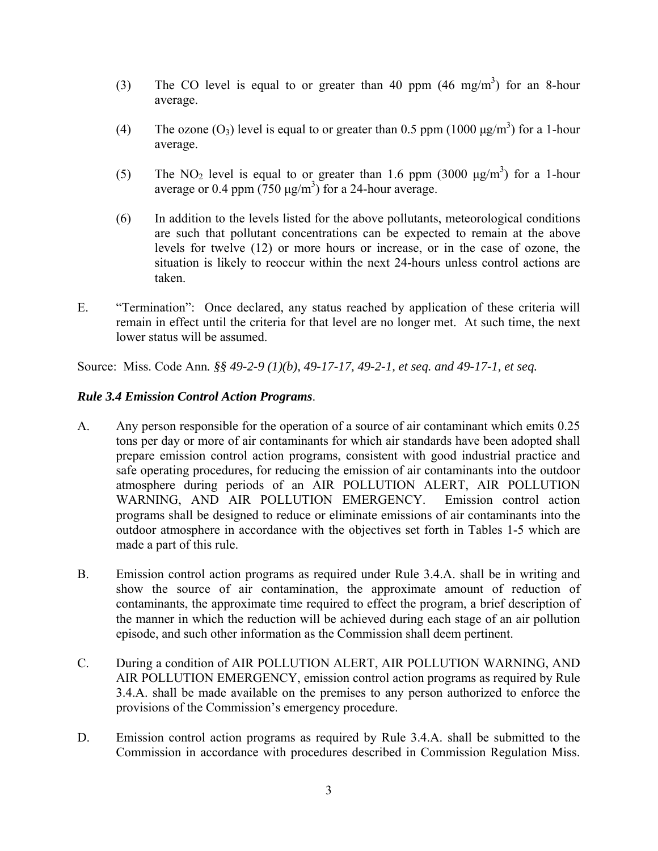- (3) The CO level is equal to or greater than 40 ppm  $(46 \text{ mg/m}^3)$  for an 8-hour average.
- (4) The ozone (O<sub>3</sub>) level is equal to or greater than 0.5 ppm (1000  $\mu$ g/m<sup>3</sup>) for a 1-hour average.
- (5) The NO<sub>2</sub> level is equal to or greater than 1.6 ppm (3000  $\mu$ g/m<sup>3</sup>) for a 1-hour average or 0.4 ppm  $(750 \text{ µg/m}^3)$  for a 24-hour average.
- (6) In addition to the levels listed for the above pollutants, meteorological conditions are such that pollutant concentrations can be expected to remain at the above levels for twelve (12) or more hours or increase, or in the case of ozone, the situation is likely to reoccur within the next 24-hours unless control actions are taken.
- E. "Termination": Once declared, any status reached by application of these criteria will remain in effect until the criteria for that level are no longer met. At such time, the next lower status will be assumed.

Source:Miss. Code Ann*. §§ 49-2-9 (1)(b), 49-17-17, 49-2-1, et seq. and 49-17-1, et seq.* 

### *Rule 3.4 Emission Control Action Programs*.

- A. Any person responsible for the operation of a source of air contaminant which emits 0.25 tons per day or more of air contaminants for which air standards have been adopted shall prepare emission control action programs, consistent with good industrial practice and safe operating procedures, for reducing the emission of air contaminants into the outdoor atmosphere during periods of an AIR POLLUTION ALERT, AIR POLLUTION WARNING, AND AIR POLLUTION EMERGENCY. Emission control action programs shall be designed to reduce or eliminate emissions of air contaminants into the outdoor atmosphere in accordance with the objectives set forth in Tables 1-5 which are made a part of this rule.
- B. Emission control action programs as required under Rule 3.4.A. shall be in writing and show the source of air contamination, the approximate amount of reduction of contaminants, the approximate time required to effect the program, a brief description of the manner in which the reduction will be achieved during each stage of an air pollution episode, and such other information as the Commission shall deem pertinent.
- C. During a condition of AIR POLLUTION ALERT, AIR POLLUTION WARNING, AND AIR POLLUTION EMERGENCY, emission control action programs as required by Rule 3.4.A. shall be made available on the premises to any person authorized to enforce the provisions of the Commission's emergency procedure.
- D. Emission control action programs as required by Rule 3.4.A. shall be submitted to the Commission in accordance with procedures described in Commission Regulation Miss.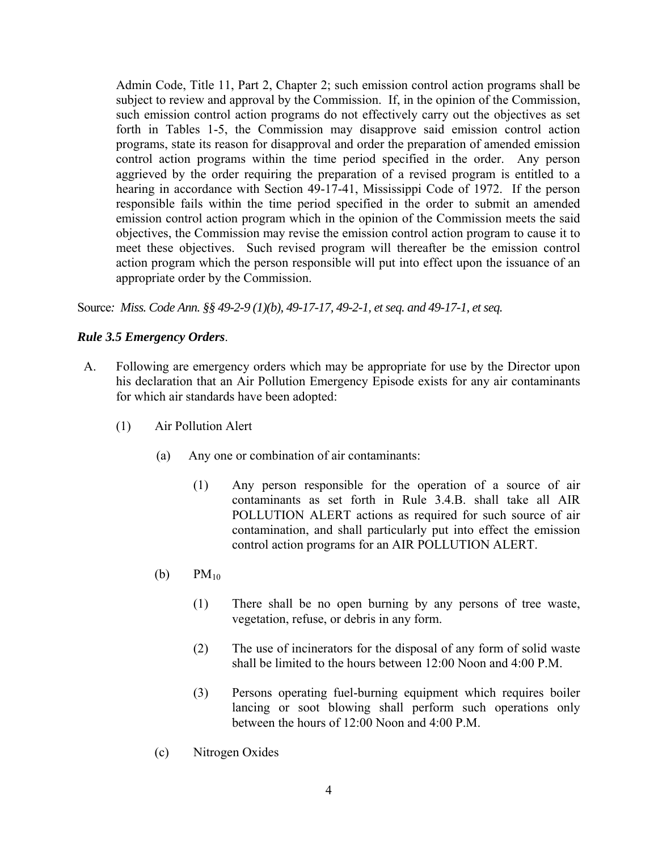Admin Code, Title 11, Part 2, Chapter 2; such emission control action programs shall be subject to review and approval by the Commission. If, in the opinion of the Commission, such emission control action programs do not effectively carry out the objectives as set forth in Tables 1-5, the Commission may disapprove said emission control action programs, state its reason for disapproval and order the preparation of amended emission control action programs within the time period specified in the order. Any person aggrieved by the order requiring the preparation of a revised program is entitled to a hearing in accordance with Section 49-17-41, Mississippi Code of 1972. If the person responsible fails within the time period specified in the order to submit an amended emission control action program which in the opinion of the Commission meets the said objectives, the Commission may revise the emission control action program to cause it to meet these objectives. Such revised program will thereafter be the emission control action program which the person responsible will put into effect upon the issuance of an appropriate order by the Commission.

Source*: Miss. Code Ann. §§ 49-2-9 (1)(b), 49-17-17, 49-2-1, et seq. and 49-17-1, et seq.* 

### *Rule 3.5 Emergency Orders*.

- A. Following are emergency orders which may be appropriate for use by the Director upon his declaration that an Air Pollution Emergency Episode exists for any air contaminants for which air standards have been adopted:
	- (1) Air Pollution Alert
		- (a) Any one or combination of air contaminants:
			- (1) Any person responsible for the operation of a source of air contaminants as set forth in Rule 3.4.B. shall take all AIR POLLUTION ALERT actions as required for such source of air contamination, and shall particularly put into effect the emission control action programs for an AIR POLLUTION ALERT.
		- (b)  $PM_{10}$ 
			- (1) There shall be no open burning by any persons of tree waste, vegetation, refuse, or debris in any form.
			- (2) The use of incinerators for the disposal of any form of solid waste shall be limited to the hours between 12:00 Noon and 4:00 P.M.
			- (3) Persons operating fuel-burning equipment which requires boiler lancing or soot blowing shall perform such operations only between the hours of 12:00 Noon and 4:00 P.M.
		- (c) Nitrogen Oxides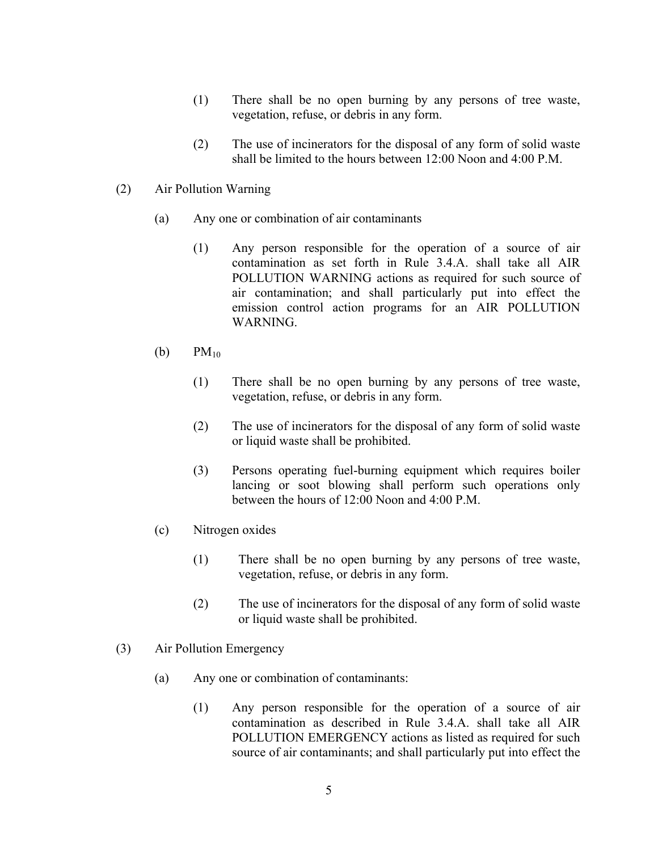- (1) There shall be no open burning by any persons of tree waste, vegetation, refuse, or debris in any form.
- (2) The use of incinerators for the disposal of any form of solid waste shall be limited to the hours between 12:00 Noon and 4:00 P.M.
- (2) Air Pollution Warning
	- (a) Any one or combination of air contaminants
		- (1) Any person responsible for the operation of a source of air contamination as set forth in Rule 3.4.A. shall take all AIR POLLUTION WARNING actions as required for such source of air contamination; and shall particularly put into effect the emission control action programs for an AIR POLLUTION WARNING.
	- (b)  $PM_{10}$ 
		- (1) There shall be no open burning by any persons of tree waste, vegetation, refuse, or debris in any form.
		- (2) The use of incinerators for the disposal of any form of solid waste or liquid waste shall be prohibited.
		- (3) Persons operating fuel-burning equipment which requires boiler lancing or soot blowing shall perform such operations only between the hours of 12:00 Noon and 4:00 P.M.
	- (c) Nitrogen oxides
		- (1) There shall be no open burning by any persons of tree waste, vegetation, refuse, or debris in any form.
		- (2) The use of incinerators for the disposal of any form of solid waste or liquid waste shall be prohibited.
- (3) Air Pollution Emergency
	- (a) Any one or combination of contaminants:
		- (1) Any person responsible for the operation of a source of air contamination as described in Rule 3.4.A. shall take all AIR POLLUTION EMERGENCY actions as listed as required for such source of air contaminants; and shall particularly put into effect the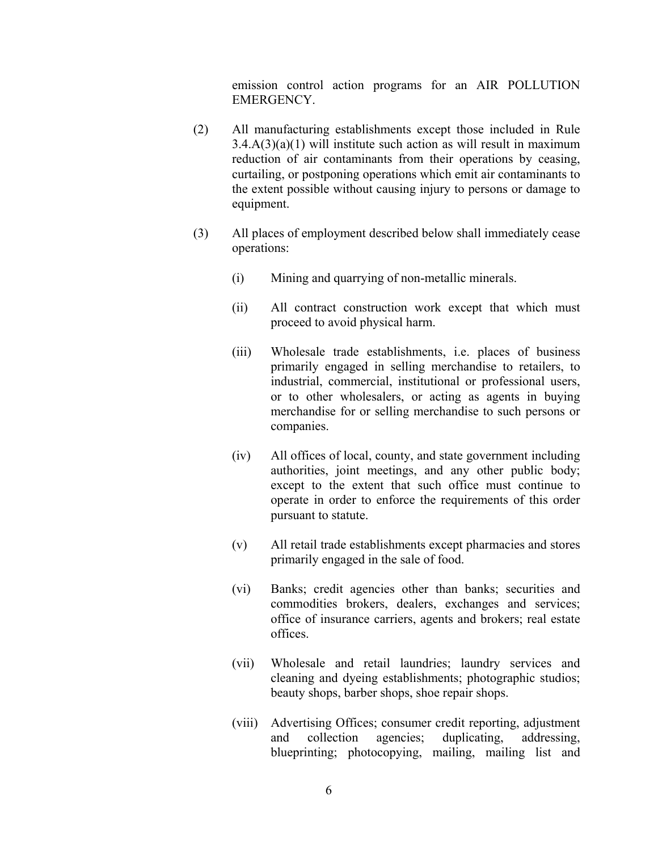emission control action programs for an AIR POLLUTION **EMERGENCY** 

- (2) All manufacturing establishments except those included in Rule  $3.4.A(3)(a)(1)$  will institute such action as will result in maximum reduction of air contaminants from their operations by ceasing, curtailing, or postponing operations which emit air contaminants to the extent possible without causing injury to persons or damage to equipment.
- (3) All places of employment described below shall immediately cease operations:
	- (i) Mining and quarrying of non-metallic minerals.
	- (ii) All contract construction work except that which must proceed to avoid physical harm.
	- (iii) Wholesale trade establishments, i.e. places of business primarily engaged in selling merchandise to retailers, to industrial, commercial, institutional or professional users, or to other wholesalers, or acting as agents in buying merchandise for or selling merchandise to such persons or companies.
	- (iv) All offices of local, county, and state government including authorities, joint meetings, and any other public body; except to the extent that such office must continue to operate in order to enforce the requirements of this order pursuant to statute.
	- (v) All retail trade establishments except pharmacies and stores primarily engaged in the sale of food.
	- (vi) Banks; credit agencies other than banks; securities and commodities brokers, dealers, exchanges and services; office of insurance carriers, agents and brokers; real estate offices.
	- (vii) Wholesale and retail laundries; laundry services and cleaning and dyeing establishments; photographic studios; beauty shops, barber shops, shoe repair shops.
	- (viii) Advertising Offices; consumer credit reporting, adjustment and collection agencies; duplicating, addressing, blueprinting; photocopying, mailing, mailing list and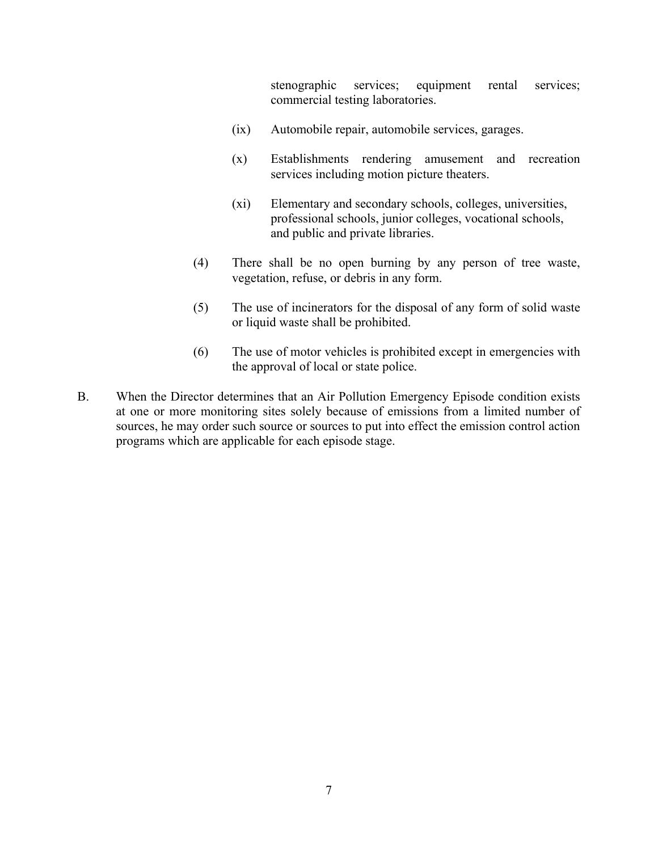stenographic services; equipment rental services; commercial testing laboratories.

- (ix) Automobile repair, automobile services, garages.
- (x) Establishments rendering amusement and recreation services including motion picture theaters.
- (xi) Elementary and secondary schools, colleges, universities, professional schools, junior colleges, vocational schools, and public and private libraries.
- (4) There shall be no open burning by any person of tree waste, vegetation, refuse, or debris in any form.
- (5) The use of incinerators for the disposal of any form of solid waste or liquid waste shall be prohibited.
- (6) The use of motor vehicles is prohibited except in emergencies with the approval of local or state police.
- B. When the Director determines that an Air Pollution Emergency Episode condition exists at one or more monitoring sites solely because of emissions from a limited number of sources, he may order such source or sources to put into effect the emission control action programs which are applicable for each episode stage.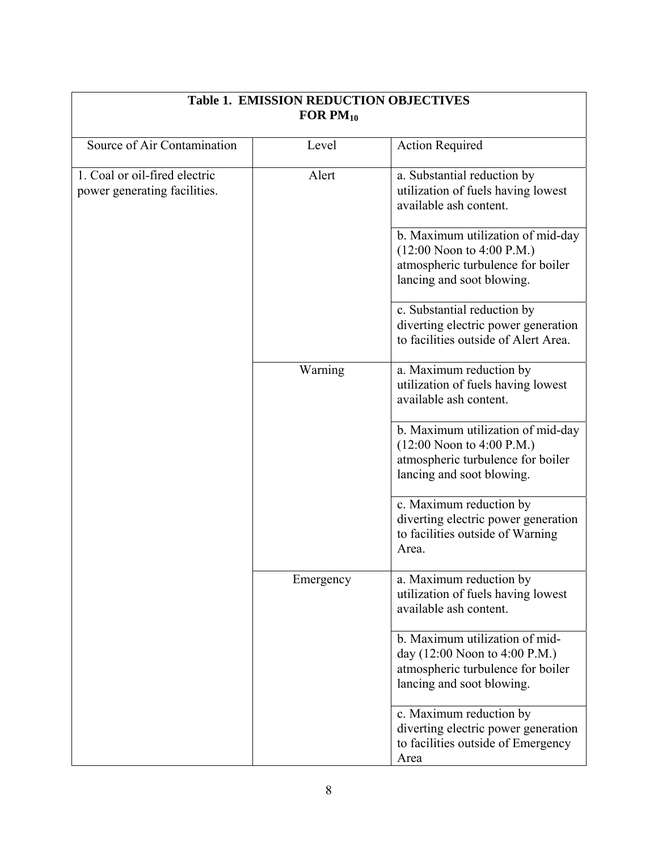| FOR $PM_{10}$                                                 |           |                                                                                                                                    |
|---------------------------------------------------------------|-----------|------------------------------------------------------------------------------------------------------------------------------------|
| Source of Air Contamination                                   | Level     | <b>Action Required</b>                                                                                                             |
| 1. Coal or oil-fired electric<br>power generating facilities. | Alert     | a. Substantial reduction by<br>utilization of fuels having lowest<br>available ash content.                                        |
|                                                               |           | b. Maximum utilization of mid-day<br>$(12:00$ Noon to 4:00 P.M.)<br>atmospheric turbulence for boiler<br>lancing and soot blowing. |
|                                                               |           | c. Substantial reduction by<br>diverting electric power generation<br>to facilities outside of Alert Area.                         |
|                                                               | Warning   | a. Maximum reduction by<br>utilization of fuels having lowest<br>available ash content.                                            |
|                                                               |           | b. Maximum utilization of mid-day<br>$(12:00$ Noon to 4:00 P.M.)<br>atmospheric turbulence for boiler<br>lancing and soot blowing. |
|                                                               |           | c. Maximum reduction by<br>diverting electric power generation<br>to facilities outside of Warning<br>Area.                        |
|                                                               | Emergency | a. Maximum reduction by<br>utilization of fuels having lowest<br>available ash content.                                            |
|                                                               |           | b. Maximum utilization of mid-<br>day (12:00 Noon to 4:00 P.M.)<br>atmospheric turbulence for boiler<br>lancing and soot blowing.  |
|                                                               |           | c. Maximum reduction by<br>diverting electric power generation<br>to facilities outside of Emergency<br>Area                       |

 $\Gamma$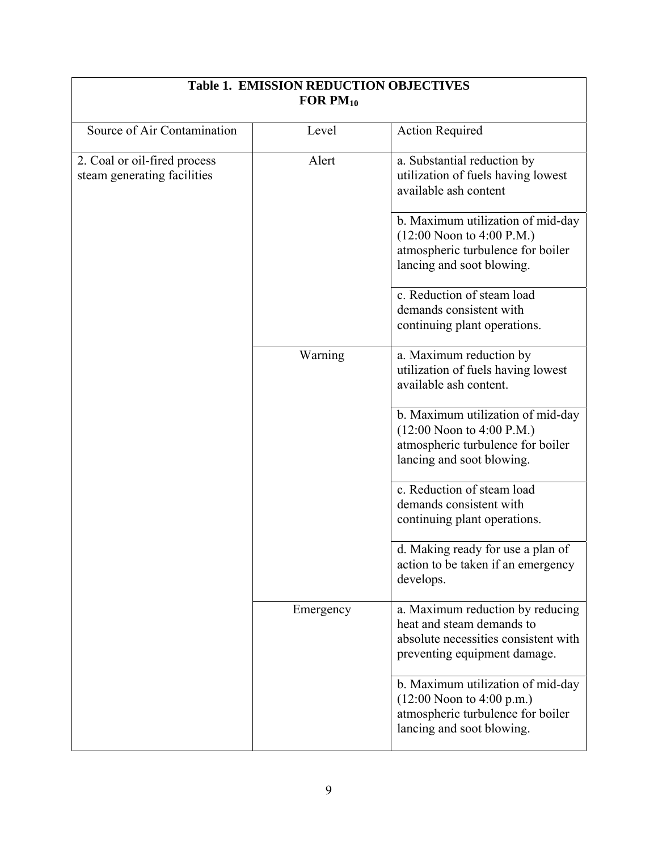| FOR $PM_{10}$                                               |           |                                                                                                                                       |
|-------------------------------------------------------------|-----------|---------------------------------------------------------------------------------------------------------------------------------------|
| Source of Air Contamination                                 | Level     | <b>Action Required</b>                                                                                                                |
| 2. Coal or oil-fired process<br>steam generating facilities | Alert     | a. Substantial reduction by<br>utilization of fuels having lowest<br>available ash content                                            |
|                                                             |           | b. Maximum utilization of mid-day<br>$(12:00$ Noon to 4:00 P.M.)<br>atmospheric turbulence for boiler<br>lancing and soot blowing.    |
|                                                             |           | $\overline{c}$ . Reduction of steam load<br>demands consistent with<br>continuing plant operations.                                   |
|                                                             | Warning   | a. Maximum reduction by<br>utilization of fuels having lowest<br>available ash content.                                               |
|                                                             |           | b. Maximum utilization of mid-day<br>$(12:00$ Noon to 4:00 P.M.)<br>atmospheric turbulence for boiler<br>lancing and soot blowing.    |
|                                                             |           | c. Reduction of steam load<br>demands consistent with<br>continuing plant operations.                                                 |
|                                                             |           | d. Making ready for use a plan of<br>action to be taken if an emergency<br>develops.                                                  |
|                                                             | Emergency | a. Maximum reduction by reducing<br>heat and steam demands to<br>absolute necessities consistent with<br>preventing equipment damage. |
|                                                             |           | b. Maximum utilization of mid-day<br>$(12:00$ Noon to 4:00 p.m.)<br>atmospheric turbulence for boiler<br>lancing and soot blowing.    |

# **Table 1. EMISSION REDUCTION OBJECTIVES**

⅂

 $\overline{\phantom{a}}$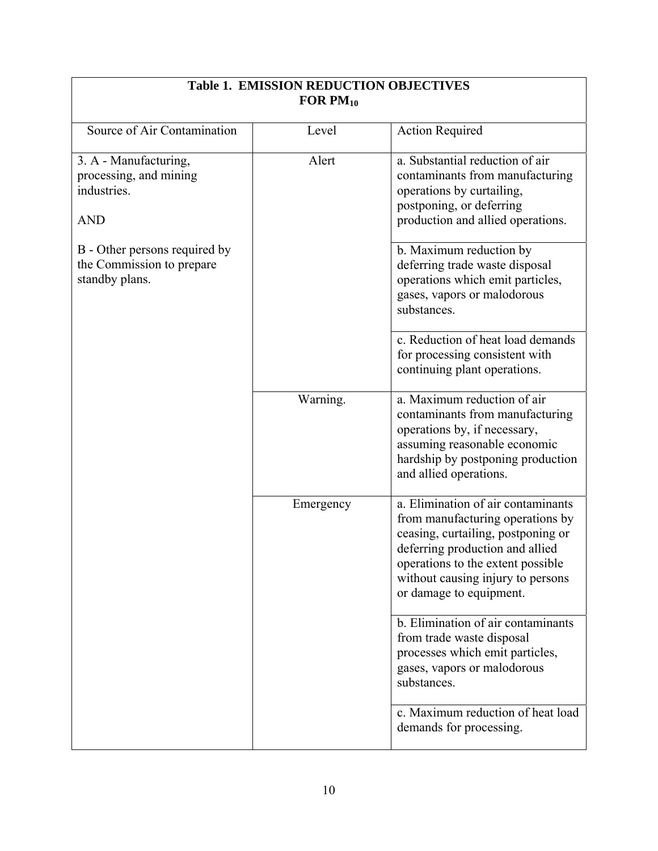| FOR $PM_{10}$                                                                |           |                                                                                                                                                                                                                                                      |
|------------------------------------------------------------------------------|-----------|------------------------------------------------------------------------------------------------------------------------------------------------------------------------------------------------------------------------------------------------------|
| Source of Air Contamination                                                  | Level     | <b>Action Required</b>                                                                                                                                                                                                                               |
| 3. A - Manufacturing,<br>processing, and mining<br>industries.<br><b>AND</b> | Alert     | a. Substantial reduction of air<br>contaminants from manufacturing<br>operations by curtailing,<br>postponing, or deferring<br>production and allied operations.                                                                                     |
| B - Other persons required by<br>the Commission to prepare<br>standby plans. |           | b. Maximum reduction by<br>deferring trade waste disposal<br>operations which emit particles,<br>gases, vapors or malodorous<br>substances.                                                                                                          |
|                                                                              |           | c. Reduction of heat load demands<br>for processing consistent with<br>continuing plant operations.                                                                                                                                                  |
|                                                                              | Warning.  | a. Maximum reduction of air<br>contaminants from manufacturing<br>operations by, if necessary,<br>assuming reasonable economic<br>hardship by postponing production<br>and allied operations.                                                        |
|                                                                              | Emergency | a. Elimination of air contaminants<br>from manufacturing operations by<br>ceasing, curtailing, postponing or<br>deferring production and allied<br>operations to the extent possible<br>without causing injury to persons<br>or damage to equipment. |
|                                                                              |           | b. Elimination of air contaminants<br>from trade waste disposal<br>processes which emit particles,<br>gases, vapors or malodorous<br>substances.                                                                                                     |
|                                                                              |           | c. Maximum reduction of heat load<br>demands for processing.                                                                                                                                                                                         |

 $\overline{\phantom{a}}$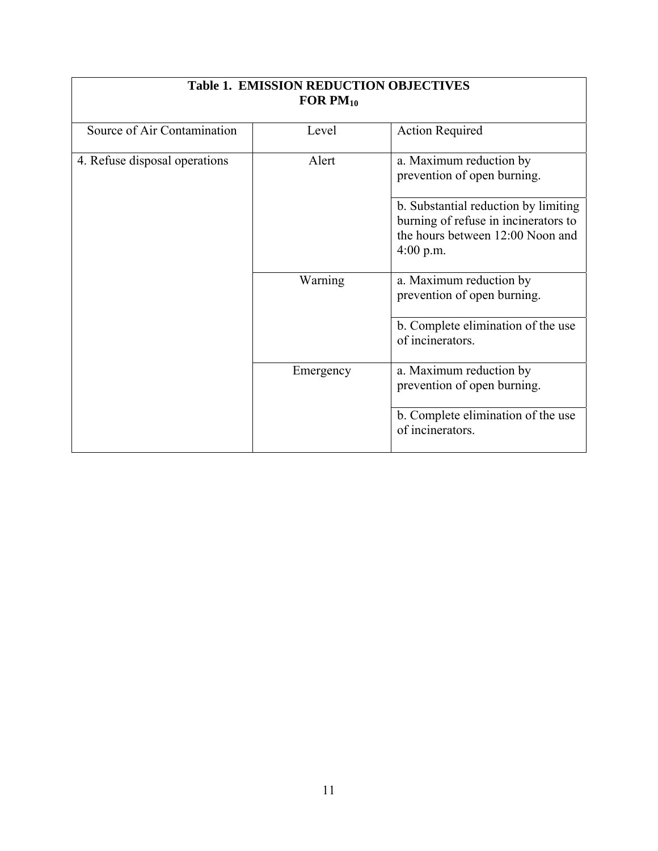| FOR $PM_{10}$                 |           |                                                                                                                                 |
|-------------------------------|-----------|---------------------------------------------------------------------------------------------------------------------------------|
| Source of Air Contamination   | Level     | <b>Action Required</b>                                                                                                          |
| 4. Refuse disposal operations | Alert     | a. Maximum reduction by<br>prevention of open burning.                                                                          |
|                               |           | b. Substantial reduction by limiting<br>burning of refuse in incinerators to<br>the hours between 12:00 Noon and<br>$4:00$ p.m. |
|                               | Warning   | a. Maximum reduction by<br>prevention of open burning.                                                                          |
|                               |           | b. Complete elimination of the use<br>of incinerators.                                                                          |
|                               | Emergency | a. Maximum reduction by<br>prevention of open burning.                                                                          |
|                               |           | b. Complete elimination of the use<br>of incinerators.                                                                          |

# **Table 1. EMISSION REDUCTION OBJECTIVES**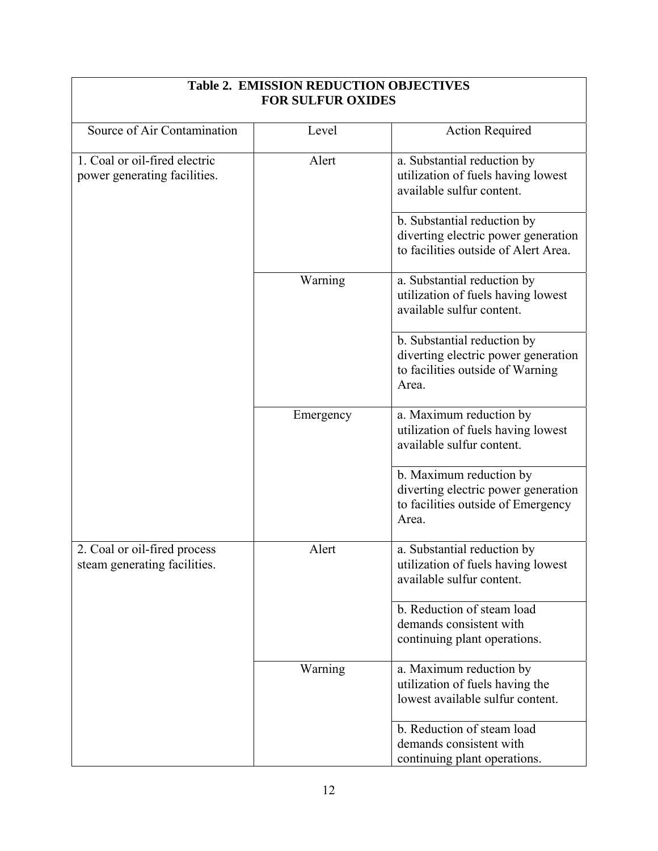| <b>FOR SULFUR OXIDES</b>                                      |           |                                                                                                                 |
|---------------------------------------------------------------|-----------|-----------------------------------------------------------------------------------------------------------------|
| Source of Air Contamination                                   | Level     | <b>Action Required</b>                                                                                          |
| 1. Coal or oil-fired electric<br>power generating facilities. | Alert     | a. Substantial reduction by<br>utilization of fuels having lowest<br>available sulfur content.                  |
|                                                               |           | b. Substantial reduction by<br>diverting electric power generation<br>to facilities outside of Alert Area.      |
|                                                               | Warning   | a. Substantial reduction by<br>utilization of fuels having lowest<br>available sulfur content.                  |
|                                                               |           | b. Substantial reduction by<br>diverting electric power generation<br>to facilities outside of Warning<br>Area. |
|                                                               | Emergency | a. Maximum reduction by<br>utilization of fuels having lowest<br>available sulfur content.                      |
|                                                               |           | b. Maximum reduction by<br>diverting electric power generation<br>to facilities outside of Emergency<br>Area.   |
| 2. Coal or oil-fired process<br>steam generating facilities.  | Alert     | a. Substantial reduction by<br>utilization of fuels having lowest<br>available sulfur content.                  |
|                                                               |           | b. Reduction of steam load<br>demands consistent with<br>continuing plant operations.                           |
|                                                               | Warning   | a. Maximum reduction by<br>utilization of fuels having the<br>lowest available sulfur content.                  |
|                                                               |           | b. Reduction of steam load<br>demands consistent with<br>continuing plant operations.                           |

## **Table 2. EMISSION REDUCTION OBJECTIVES**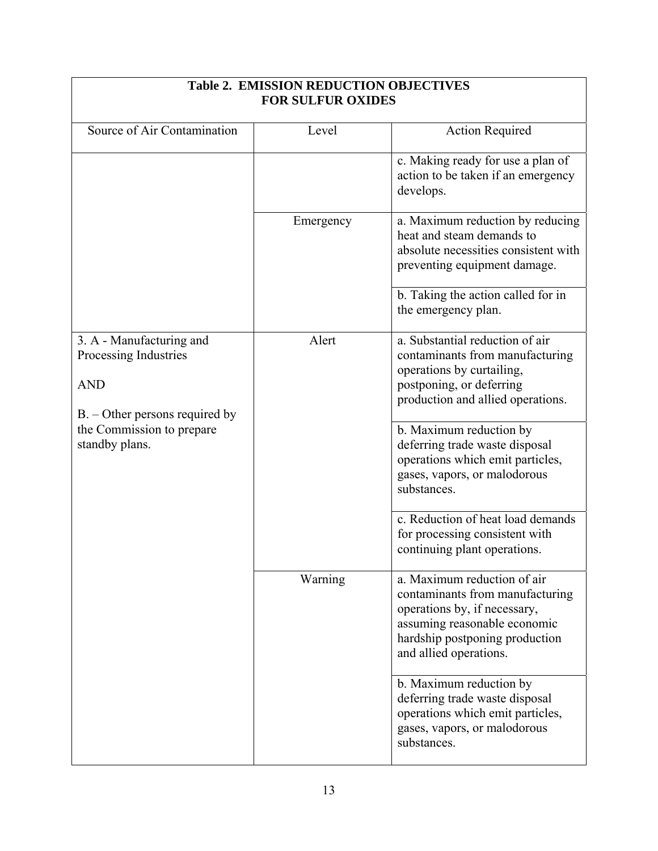| <b>FOR SULFUR OXIDES</b>                                                                                                                           |           |                                                                                                                                                                                                                                                                                                                                                                                                                         |
|----------------------------------------------------------------------------------------------------------------------------------------------------|-----------|-------------------------------------------------------------------------------------------------------------------------------------------------------------------------------------------------------------------------------------------------------------------------------------------------------------------------------------------------------------------------------------------------------------------------|
| Source of Air Contamination                                                                                                                        | Level     | <b>Action Required</b>                                                                                                                                                                                                                                                                                                                                                                                                  |
|                                                                                                                                                    |           | c. Making ready for use a plan of<br>action to be taken if an emergency<br>develops.                                                                                                                                                                                                                                                                                                                                    |
|                                                                                                                                                    | Emergency | a. Maximum reduction by reducing<br>heat and steam demands to<br>absolute necessities consistent with<br>preventing equipment damage.                                                                                                                                                                                                                                                                                   |
|                                                                                                                                                    |           | b. Taking the action called for in<br>the emergency plan.                                                                                                                                                                                                                                                                                                                                                               |
| 3. A - Manufacturing and<br>Processing Industries<br><b>AND</b><br>$B. -$ Other persons required by<br>the Commission to prepare<br>standby plans. | Alert     | a. Substantial reduction of air<br>contaminants from manufacturing<br>operations by curtailing,<br>postponing, or deferring<br>production and allied operations.<br>b. Maximum reduction by<br>deferring trade waste disposal<br>operations which emit particles,<br>gases, vapors, or malodorous<br>substances.<br>c. Reduction of heat load demands<br>for processing consistent with<br>continuing plant operations. |
|                                                                                                                                                    | Warning   | a. Maximum reduction of air<br>contaminants from manufacturing<br>operations by, if necessary,<br>assuming reasonable economic<br>hardship postponing production<br>and allied operations.<br>b. Maximum reduction by<br>deferring trade waste disposal<br>operations which emit particles,<br>gases, vapors, or malodorous<br>substances.                                                                              |

## **Table 2. EMISSION REDUCTION OBJECTIVES**

٦

 $\overline{\phantom{a}}$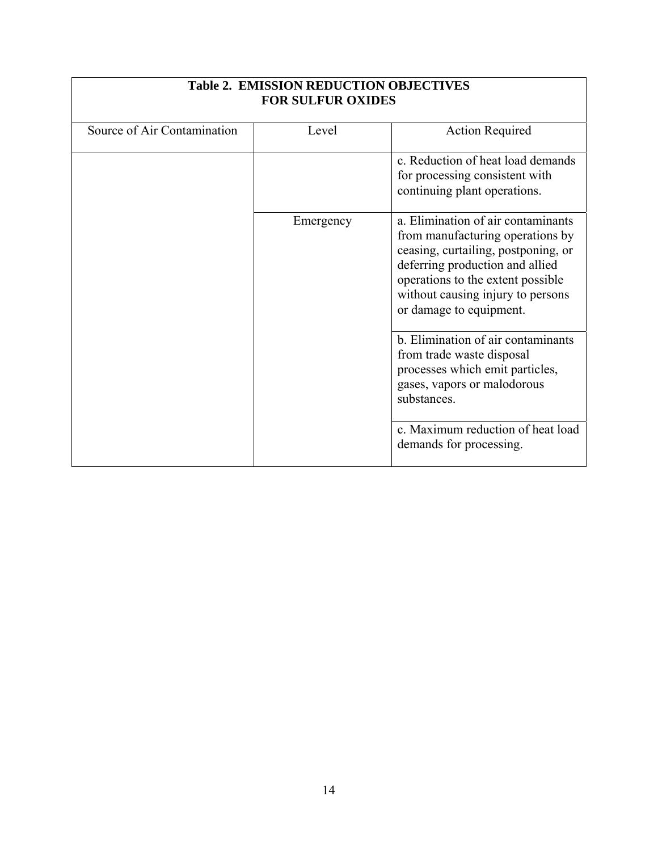| <b>FOR SULFUR OXIDES</b>    |           |                                                                                                                                                                                                                                                       |
|-----------------------------|-----------|-------------------------------------------------------------------------------------------------------------------------------------------------------------------------------------------------------------------------------------------------------|
| Source of Air Contamination | Level     | <b>Action Required</b>                                                                                                                                                                                                                                |
|                             |           | c. Reduction of heat load demands<br>for processing consistent with<br>continuing plant operations.                                                                                                                                                   |
|                             | Emergency | a. Elimination of air contaminants<br>from manufacturing operations by<br>ceasing, curtailing, postponing, or<br>deferring production and allied<br>operations to the extent possible<br>without causing injury to persons<br>or damage to equipment. |
|                             |           | b. Elimination of air contaminants<br>from trade waste disposal<br>processes which emit particles,<br>gases, vapors or malodorous<br>substances.                                                                                                      |
|                             |           | c. Maximum reduction of heat load<br>demands for processing.                                                                                                                                                                                          |

## **Table 2. EMISSION REDUCTION OBJECTIVES**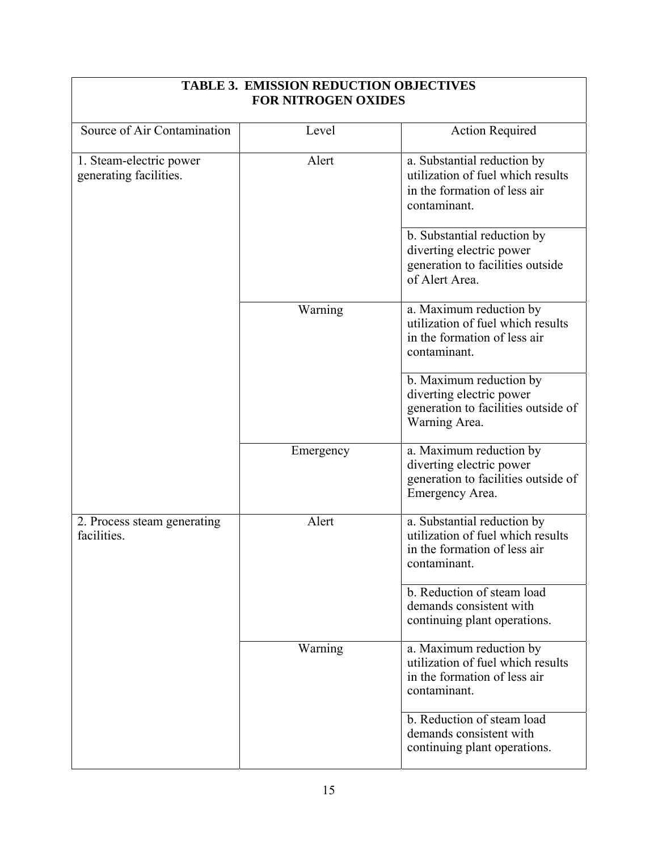| <b>FOR NITROGEN OXIDES</b>                        |           |                                                                                                                  |
|---------------------------------------------------|-----------|------------------------------------------------------------------------------------------------------------------|
| Source of Air Contamination                       | Level     | <b>Action Required</b>                                                                                           |
| 1. Steam-electric power<br>generating facilities. | Alert     | a. Substantial reduction by<br>utilization of fuel which results<br>in the formation of less air<br>contaminant. |
|                                                   |           | b. Substantial reduction by<br>diverting electric power<br>generation to facilities outside<br>of Alert Area.    |
|                                                   | Warning   | a. Maximum reduction by<br>utilization of fuel which results<br>in the formation of less air<br>contaminant.     |
|                                                   |           | b. Maximum reduction by<br>diverting electric power<br>generation to facilities outside of<br>Warning Area.      |
|                                                   | Emergency | a. Maximum reduction by<br>diverting electric power<br>generation to facilities outside of<br>Emergency Area.    |
| 2. Process steam generating<br>facilities.        | Alert     | a. Substantial reduction by<br>utilization of fuel which results<br>in the formation of less air<br>contaminant. |
|                                                   |           | b. Reduction of steam load<br>demands consistent with<br>continuing plant operations.                            |
|                                                   | Warning   | a. Maximum reduction by<br>utilization of fuel which results<br>in the formation of less air<br>contaminant.     |
|                                                   |           | b. Reduction of steam load<br>demands consistent with<br>continuing plant operations.                            |

### **TABLE 3. EMISSION REDUCTION OBJECTIVES FOR NITROGEN OXIDES**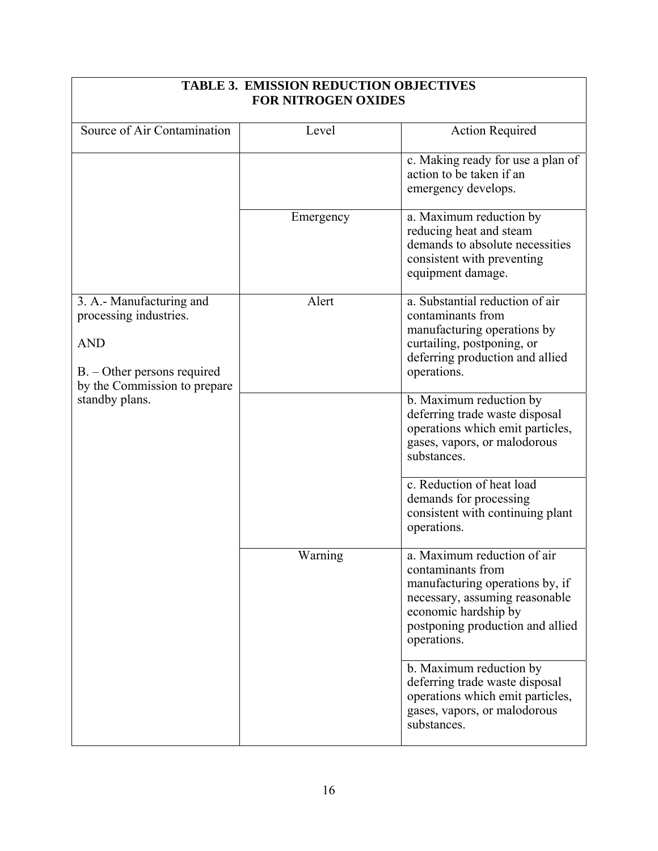| <b>FOR NITROGEN OXIDES</b>                                                                                                        |           |                                                                                                                                                                                                  |
|-----------------------------------------------------------------------------------------------------------------------------------|-----------|--------------------------------------------------------------------------------------------------------------------------------------------------------------------------------------------------|
| Source of Air Contamination                                                                                                       | Level     | <b>Action Required</b>                                                                                                                                                                           |
|                                                                                                                                   |           | c. Making ready for use a plan of<br>action to be taken if an<br>emergency develops.                                                                                                             |
|                                                                                                                                   | Emergency | a. Maximum reduction by<br>reducing heat and steam<br>demands to absolute necessities<br>consistent with preventing<br>equipment damage.                                                         |
| 3. A.- Manufacturing and<br>processing industries.<br><b>AND</b><br>$B. - Other persons required$<br>by the Commission to prepare | Alert     | a. Substantial reduction of air<br>contaminants from<br>manufacturing operations by<br>curtailing, postponing, or<br>deferring production and allied<br>operations.                              |
| standby plans.                                                                                                                    |           | b. Maximum reduction by<br>deferring trade waste disposal<br>operations which emit particles,<br>gases, vapors, or malodorous<br>substances.                                                     |
|                                                                                                                                   |           | c. Reduction of heat load<br>demands for processing<br>consistent with continuing plant<br>operations.                                                                                           |
|                                                                                                                                   | Warning   | a. Maximum reduction of air<br>contaminants from<br>manufacturing operations by, if<br>necessary, assuming reasonable<br>economic hardship by<br>postponing production and allied<br>operations. |
|                                                                                                                                   |           | b. Maximum reduction by<br>deferring trade waste disposal<br>operations which emit particles,<br>gases, vapors, or malodorous<br>substances.                                                     |

## **TABLE 3. EMISSION REDUCTION OBJECTIVES**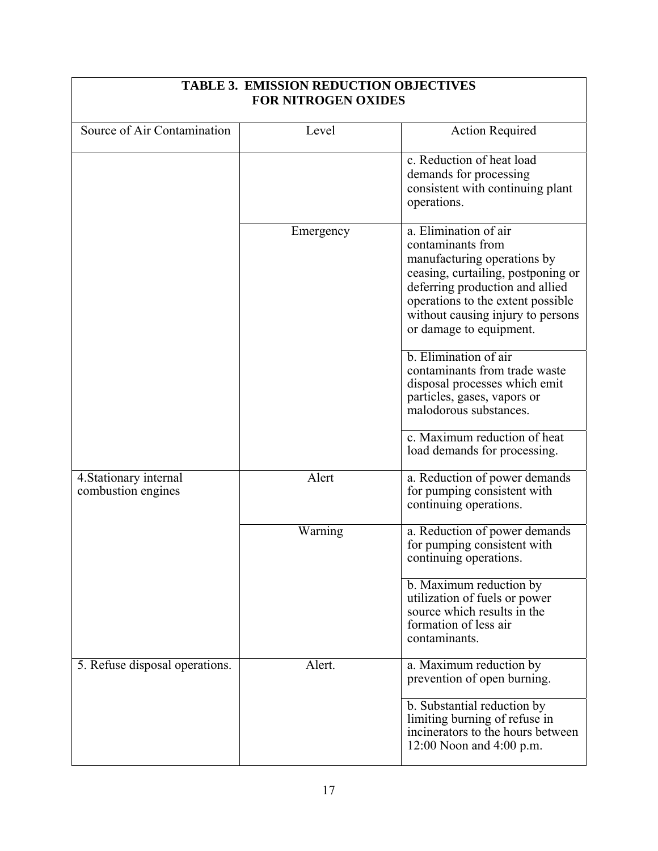| <b>FOR NITROGEN OXIDES</b>                   |           |                                                                                                                                                                                                                                                         |
|----------------------------------------------|-----------|---------------------------------------------------------------------------------------------------------------------------------------------------------------------------------------------------------------------------------------------------------|
| Source of Air Contamination                  | Level     | <b>Action Required</b>                                                                                                                                                                                                                                  |
|                                              |           | c. Reduction of heat load<br>demands for processing<br>consistent with continuing plant<br>operations.                                                                                                                                                  |
|                                              | Emergency | a. Elimination of air<br>contaminants from<br>manufacturing operations by<br>ceasing, curtailing, postponing or<br>deferring production and allied<br>operations to the extent possible<br>without causing injury to persons<br>or damage to equipment. |
|                                              |           | b. Elimination of air<br>contaminants from trade waste<br>disposal processes which emit<br>particles, gases, vapors or<br>malodorous substances.<br>c. Maximum reduction of heat                                                                        |
|                                              |           | load demands for processing.                                                                                                                                                                                                                            |
| 4. Stationary internal<br>combustion engines | Alert     | a. Reduction of power demands<br>for pumping consistent with<br>continuing operations.                                                                                                                                                                  |
|                                              | Warning   | a. Reduction of power demands<br>for pumping consistent with<br>continuing operations.                                                                                                                                                                  |
|                                              |           | b. Maximum reduction by<br>utilization of fuels or power<br>source which results in the<br>formation of less air<br>contaminants.                                                                                                                       |
| 5. Refuse disposal operations.               | Alert.    | a. Maximum reduction by<br>prevention of open burning.                                                                                                                                                                                                  |
|                                              |           | b. Substantial reduction by<br>limiting burning of refuse in<br>incinerators to the hours between<br>12:00 Noon and $4:00$ p.m.                                                                                                                         |

## **TABLE 3. EMISSION REDUCTION OBJECTIVES**

 $\sqrt{ }$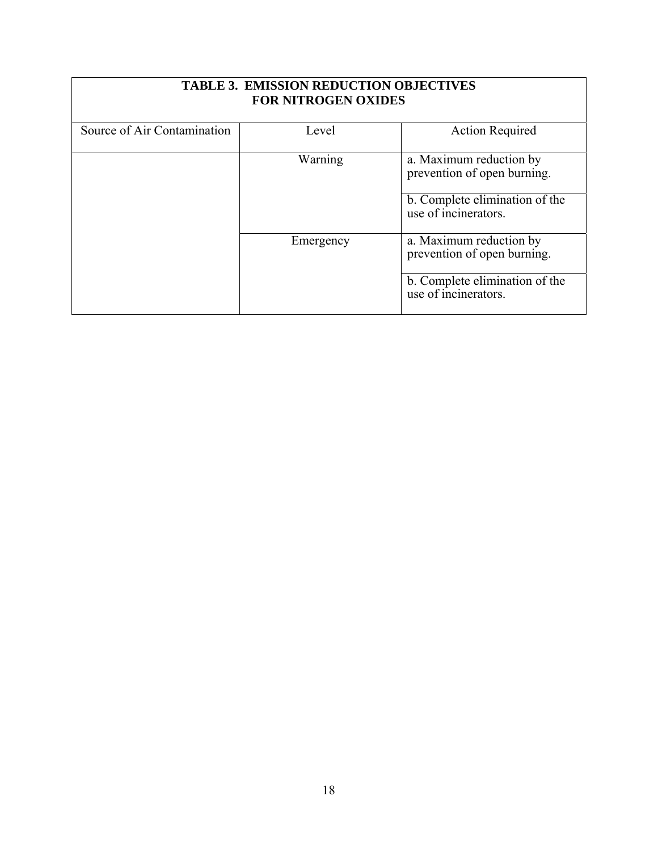| <b>TABLE 3. EMISSION REDUCTION OBJECTIVES</b><br><b>FOR NITROGEN OXIDES</b> |           |                                                        |
|-----------------------------------------------------------------------------|-----------|--------------------------------------------------------|
| Source of Air Contamination                                                 | Level     | <b>Action Required</b>                                 |
|                                                                             | Warning   | a. Maximum reduction by<br>prevention of open burning. |
|                                                                             |           | b. Complete elimination of the<br>use of incinerators. |
|                                                                             | Emergency | a. Maximum reduction by<br>prevention of open burning. |
|                                                                             |           | b. Complete elimination of the<br>use of incinerators. |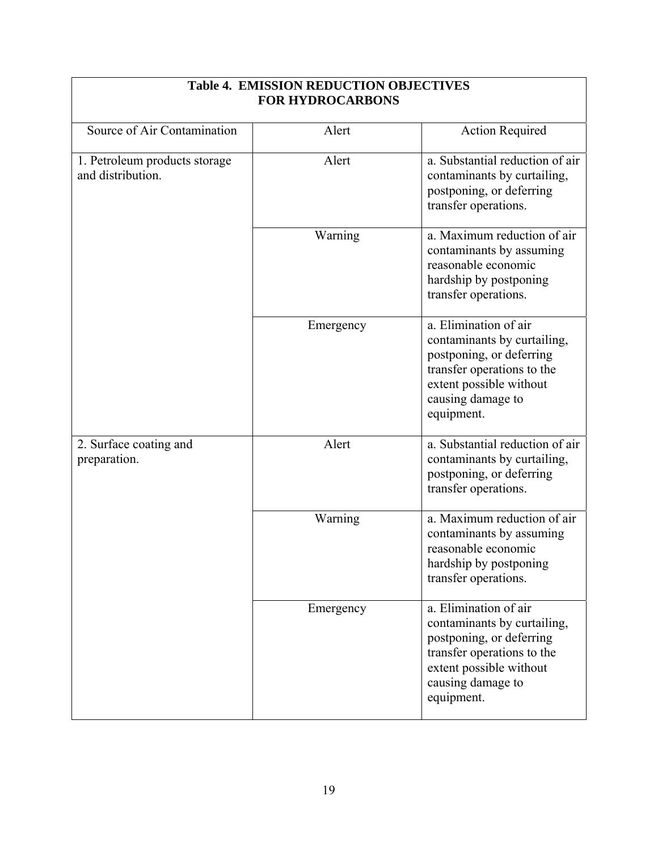| <b>FOR HYDROCARBONS</b>                            |           |                                                                                                                                                                              |  |  |
|----------------------------------------------------|-----------|------------------------------------------------------------------------------------------------------------------------------------------------------------------------------|--|--|
| Source of Air Contamination                        | Alert     | <b>Action Required</b>                                                                                                                                                       |  |  |
| 1. Petroleum products storage<br>and distribution. | Alert     | a. Substantial reduction of air<br>contaminants by curtailing,<br>postponing, or deferring<br>transfer operations.                                                           |  |  |
|                                                    | Warning   | a. Maximum reduction of air<br>contaminants by assuming<br>reasonable economic<br>hardship by postponing<br>transfer operations.                                             |  |  |
|                                                    | Emergency | a. Elimination of air<br>contaminants by curtailing,<br>postponing, or deferring<br>transfer operations to the<br>extent possible without<br>causing damage to<br>equipment. |  |  |
| 2. Surface coating and<br>preparation.             | Alert     | a. Substantial reduction of air<br>contaminants by curtailing,<br>postponing, or deferring<br>transfer operations.                                                           |  |  |
|                                                    | Warning   | a. Maximum reduction of air<br>contaminants by assuming<br>reasonable economic<br>hardship by postponing<br>transfer operations.                                             |  |  |
|                                                    | Emergency | a. Elimination of air<br>contaminants by curtailing,<br>postponing, or deferring<br>transfer operations to the<br>extent possible without<br>causing damage to<br>equipment. |  |  |

### **Table 4. EMISSION REDUCTION OBJECTIVES FOR HYDROCARBONS**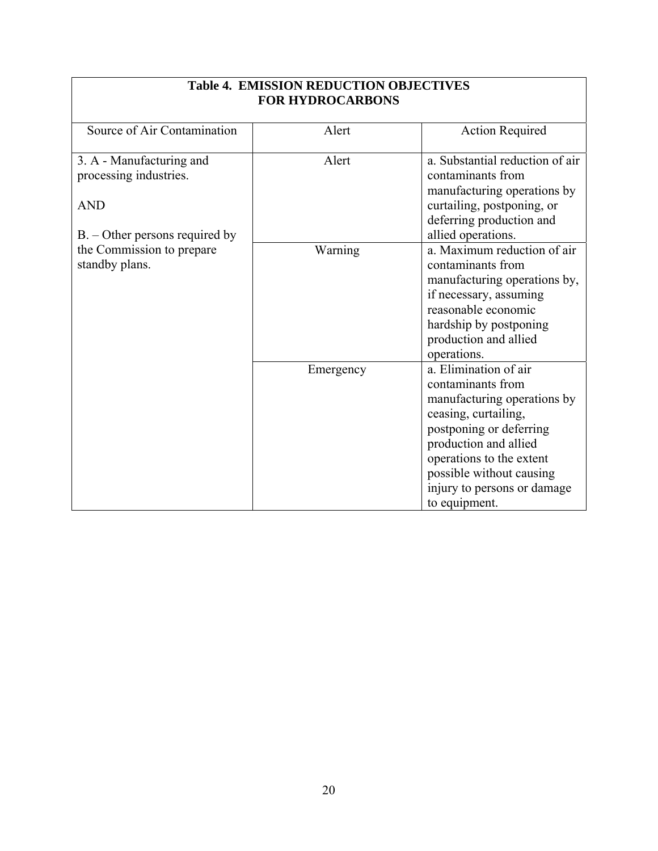| <b>Table 4. EMISSION REDUCTION OBJECTIVES</b><br><b>FOR HYDROCARBONS</b> |           |                                                                                                                                                                                                                                                               |  |
|--------------------------------------------------------------------------|-----------|---------------------------------------------------------------------------------------------------------------------------------------------------------------------------------------------------------------------------------------------------------------|--|
| Source of Air Contamination                                              | Alert     | <b>Action Required</b>                                                                                                                                                                                                                                        |  |
| 3. A - Manufacturing and<br>processing industries.<br><b>AND</b>         | Alert     | a. Substantial reduction of air<br>contaminants from<br>manufacturing operations by<br>curtailing, postponing, or                                                                                                                                             |  |
| $B. -$ Other persons required by                                         |           | deferring production and<br>allied operations.                                                                                                                                                                                                                |  |
| the Commission to prepare<br>standby plans.                              | Warning   | a. Maximum reduction of air<br>contaminants from<br>manufacturing operations by,<br>if necessary, assuming<br>reasonable economic<br>hardship by postponing<br>production and allied<br>operations.                                                           |  |
|                                                                          | Emergency | a. Elimination of air<br>contaminants from<br>manufacturing operations by<br>ceasing, curtailing,<br>postponing or deferring<br>production and allied<br>operations to the extent<br>possible without causing<br>injury to persons or damage<br>to equipment. |  |

## **Table 4. EMISSION REDUCTION OBJECTIVES**

٦